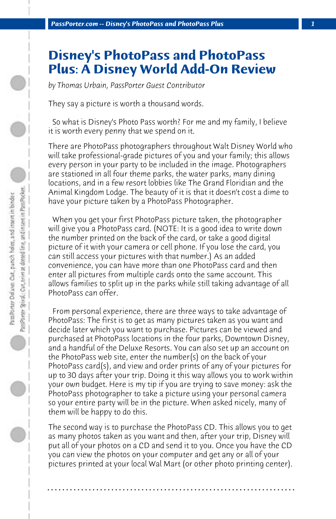## **Disney's PhotoPass and PhotoPass Plus: A Disney World Add-On Review**

*by Thomas Urbain, PassPorter Guest Contributor*

They say a picture is worth a thousand words.

 So what is Disney's Photo Pass worth? For me and my family, I believe it is worth every penny that we spend on it.

There are PhotoPass photographers throughout Walt Disney World who will take professional-grade pictures of you and your family; this allows every person in your party to be included in the image. Photographers are stationed in all four theme parks, the water parks, many dining locations, and in a few resort lobbies like The Grand Floridian and the Animal Kingdom Lodge. The beauty of it is that it doesn't cost a dime to have your picture taken by a PhotoPass Photographer.

 When you get your first PhotoPass picture taken, the photographer will give you a PhotoPass card. (NOTE: It is a good idea to write down the number printed on the back of the card, or take a good digital picture of it with your camera or cell phone. If you lose the card, you can still access your pictures with that number.) As an added convenience, you can have more than one PhotoPass card and then enter all pictures from multiple cards onto the same account. This allows families to split up in the parks while still taking advantage of all PhotoPass can offer.

 From personal experience, there are three ways to take advantage of PhotoPass: The first is to get as many pictures taken as you want and decide later which you want to purchase. Pictures can be viewed and purchased at PhotoPass locations in the four parks, Downtown Disney, and a handful of the Deluxe Resorts. You can also set up an account on the PhotoPass web site, enter the number(s) on the back of your PhotoPass card(s), and view and order prints of any of your pictures for up to 30 days after your trip. Doing it this way allows you to work within your own budget. Here is my tip if you are trying to save money: ask the PhotoPass photographer to take a picture using your personal camera so your entire party will be in the picture. When asked nicely, many of them will be happy to do this.

The second way is to purchase the PhotoPass CD. This allows you to get as many photos taken as you want and then, after your trip, Disney will put all of your photos on a CD and send it to you. Once you have the CD you can view the photos on your computer and get any or all of your pictures printed at your local Wal Mart (or other photo printing center).

**. . . . . . . . . . . . . . . . . . . . . . . . . . . . . . . . . . . . . . . . . . . . . . . . . . . . . . . . . . . . . . . . . .**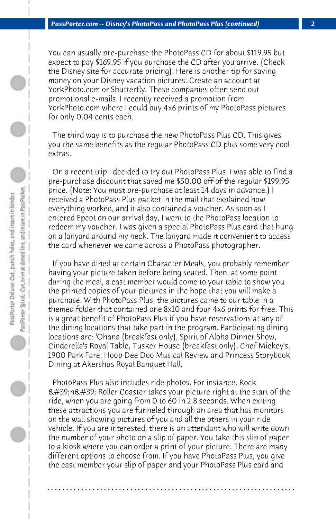You can usually pre-purchase the PhotoPass CD for about \$119.95 but expect to pay \$169.95 if you purchase the CD after you arrive. (Check the Disney site for accurate pricing). Here is another tip for saving money on your Disney vacation pictures: Create an account at YorkPhoto.com or Shutterfly. These companies often send out promotional e-mails. I recently received a promotion from YorkPhoto.com where I could buy 4x6 prints of my PhotoPass pictures for only 0.04 cents each.

 The third way is to purchase the new PhotoPass Plus CD. This gives you the same benefits as the regular PhotoPass CD plus some very cool extras.

 On a recent trip I decided to try out PhotoPass Plus. I was able to find a pre-purchase discount that saved me \$50.00 off of the regular \$199.95 price. (Note: You must pre-purchase at least 14 days in advance.) I received a PhotoPass Plus packet in the mail that explained how everything worked, and it also contained a voucher. As soon as I entered Epcot on our arrival day, I went to the PhotoPass location to redeem my voucher. I was given a special PhotoPass Plus card that hung on a lanyard around my neck. The lanyard made it convenient to access the card whenever we came across a PhotoPass photographer.

 If you have dined at certain Character Meals, you probably remember having your picture taken before being seated. Then, at some point during the meal, a cast member would come to your table to show you the printed copies of your pictures in the hope that you will make a purchase. With PhotoPass Plus, the pictures came to our table in a themed folder that contained one 8x10 and four 4x6 prints for free. This is a great benefit of PhotoPass Plus if you have reservations at any of the dining locations that take part in the program. Participating dining locations are: 'Ohana (breakfast only), Spirit of Aloha Dinner Show, Cinderella's Royal Table, Tusker House (breakfast only), Chef Mickey's, 1900 Park Fare, Hoop Dee Doo Musical Review and Princess Storybook Dining at Akershus Royal Banquet Hall.

 PhotoPass Plus also includes ride photos. For instance, Rock 'n' Roller Coaster takes your picture right at the start of the ride, when you are going from 0 to 60 in 2.8 seconds. When exiting these attractions you are funneled through an area that has monitors on the wall showing pictures of you and all the others in your ride vehicle. If you are interested, there is an attendant who will write down the number of your photo on a slip of paper. You take this slip of paper to a kiosk where you can order a print of your picture. There are many different options to choose from. If you have PhotoPass Plus, you give the cast member your slip of paper and your PhotoPass Plus card and

**. . . . . . . . . . . . . . . . . . . . . . . . . . . . . . . . . . . . . . . . . . . . . . . . . . . . . . . . . . . . . . . . . .**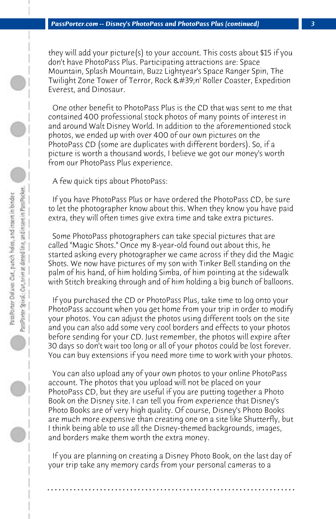they will add your picture(s) to your account. This costs about \$15 if you don't have PhotoPass Plus. Participating attractions are: Space Mountain, Splash Mountain, Buzz Lightyear's Space Ranger Spin, The Twilight Zone Tower of Terror, Rock 'n' Roller Coaster, Expedition Everest, and Dinosaur.

 One other benefit to PhotoPass Plus is the CD that was sent to me that contained 400 professional stock photos of many points of interest in and around Walt Disney World. In addition to the aforementioned stock photos, we ended up with over 400 of our own pictures on the PhotoPass CD (some are duplicates with different borders). So, if a picture is worth a thousand words, I believe we got our money's worth from our PhotoPass Plus experience.

 A few quick tips about PhotoPass:

 If you have PhotoPass Plus or have ordered the PhotoPass CD, be sure to let the photographer know about this. When they know you have paid extra, they will often times give extra time and take extra pictures.

 Some PhotoPass photographers can take special pictures that are called "Magic Shots." Once my 8-year-old found out about this, he started asking every photographer we came across if they did the Magic Shots. We now have pictures of my son with Tinker Bell standing on the palm of his hand, of him holding Simba, of him pointing at the sidewalk with Stitch breaking through and of him holding a big bunch of balloons.

 If you purchased the CD or PhotoPass Plus, take time to log onto your PhotoPass account when you get home from your trip in order to modify your photos. You can adjust the photos using different tools on the site and you can also add some very cool borders and effects to your photos before sending for your CD. Just remember, the photos will expire after 30 days so don't wait too long or all of your photos could be lost forever. You can buy extensions if you need more time to work with your photos.

 You can also upload any of your own photos to your online PhotoPass account. The photos that you upload will not be placed on your PhotoPass CD, but they are useful if you are putting together a Photo Book on the Disney site. I can tell you from experience that Disney's Photo Books are of very high quality. Of course, Disney's Photo Books are much more expensive than creating one on a site like Shutterfly, but I think being able to use all the Disney-themed backgrounds, images, and borders make them worth the extra money.

 If you are planning on creating a Disney Photo Book, on the last day of your trip take any memory cards from your personal cameras to a

**. . . . . . . . . . . . . . . . . . . . . . . . . . . . . . . . . . . . . . . . . . . . . . . . . . . . . . . . . . . . . . . . . .**